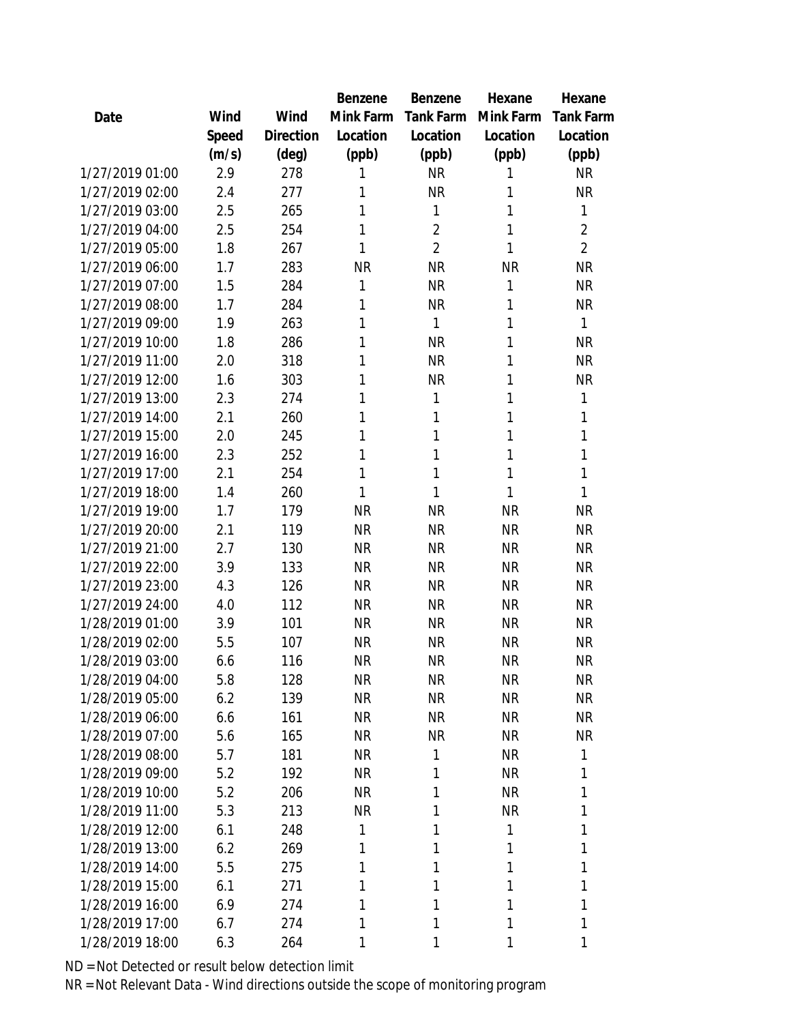|                 |       |           | Benzene   | Benzene        | Hexane    | Hexane           |
|-----------------|-------|-----------|-----------|----------------|-----------|------------------|
| Date            | Wind  | Wind      | Mink Farm | Tank Farm      | Mink Farm | <b>Tank Farm</b> |
|                 | Speed | Direction | Location  | Location       | Location  | Location         |
|                 | (m/s) | (deg)     | (ppb)     | (ppb)          | (ppb)     | (ppb)            |
| 1/27/2019 01:00 | 2.9   | 278       | 1         | <b>NR</b>      | 1         | <b>NR</b>        |
| 1/27/2019 02:00 | 2.4   | 277       | 1         | <b>NR</b>      | 1         | <b>NR</b>        |
| 1/27/2019 03:00 | 2.5   | 265       | 1         | 1              | 1         | 1                |
| 1/27/2019 04:00 | 2.5   | 254       | 1         | $\overline{2}$ | 1         | $\overline{2}$   |
| 1/27/2019 05:00 | 1.8   | 267       | 1         | $\overline{2}$ | 1         | $\overline{2}$   |
| 1/27/2019 06:00 | 1.7   | 283       | <b>NR</b> | <b>NR</b>      | <b>NR</b> | <b>NR</b>        |
| 1/27/2019 07:00 | 1.5   | 284       | 1         | <b>NR</b>      | 1         | <b>NR</b>        |
| 1/27/2019 08:00 | 1.7   | 284       | 1         | <b>NR</b>      | 1         | <b>NR</b>        |
| 1/27/2019 09:00 | 1.9   | 263       | 1         | 1              | 1         | 1                |
| 1/27/2019 10:00 | 1.8   | 286       | 1         | <b>NR</b>      | 1         | <b>NR</b>        |
| 1/27/2019 11:00 | 2.0   | 318       | 1         | <b>NR</b>      | 1         | <b>NR</b>        |
| 1/27/2019 12:00 | 1.6   | 303       | 1         | <b>NR</b>      | 1         | <b>NR</b>        |
| 1/27/2019 13:00 | 2.3   | 274       | 1         | 1              | 1         | 1                |
| 1/27/2019 14:00 | 2.1   | 260       | 1         | 1              | 1         | 1                |
| 1/27/2019 15:00 | 2.0   | 245       | 1         | 1              | 1         | 1                |
| 1/27/2019 16:00 | 2.3   | 252       | 1         | 1              | 1         | 1                |
| 1/27/2019 17:00 | 2.1   | 254       | 1         | 1              | 1         | 1                |
| 1/27/2019 18:00 | 1.4   | 260       | 1         | 1              | 1         | 1                |
| 1/27/2019 19:00 | 1.7   | 179       | <b>NR</b> | <b>NR</b>      | <b>NR</b> | <b>NR</b>        |
| 1/27/2019 20:00 | 2.1   | 119       | <b>NR</b> | <b>NR</b>      | <b>NR</b> | <b>NR</b>        |
| 1/27/2019 21:00 | 2.7   | 130       | <b>NR</b> | <b>NR</b>      | <b>NR</b> | <b>NR</b>        |
| 1/27/2019 22:00 | 3.9   | 133       | <b>NR</b> | <b>NR</b>      | <b>NR</b> | <b>NR</b>        |
| 1/27/2019 23:00 | 4.3   | 126       | <b>NR</b> | <b>NR</b>      | <b>NR</b> | <b>NR</b>        |
| 1/27/2019 24:00 | 4.0   | 112       | <b>NR</b> | <b>NR</b>      | <b>NR</b> | <b>NR</b>        |
| 1/28/2019 01:00 | 3.9   | 101       | <b>NR</b> | <b>NR</b>      | <b>NR</b> | <b>NR</b>        |
| 1/28/2019 02:00 | 5.5   | 107       | <b>NR</b> | <b>NR</b>      | <b>NR</b> | <b>NR</b>        |
| 1/28/2019 03:00 | 6.6   | 116       | <b>NR</b> | <b>NR</b>      | <b>NR</b> | <b>NR</b>        |
| 1/28/2019 04:00 | 5.8   | 128       | <b>NR</b> | <b>NR</b>      | <b>NR</b> | <b>NR</b>        |
| 1/28/2019 05:00 | 6.2   | 139       | <b>NR</b> | <b>NR</b>      | <b>NR</b> | <b>NR</b>        |
| 1/28/2019 06:00 | 6.6   | 161       | <b>NR</b> | <b>NR</b>      | <b>NR</b> | <b>NR</b>        |
| 1/28/2019 07:00 | 5.6   | 165       | <b>NR</b> | <b>NR</b>      | <b>NR</b> | <b>NR</b>        |
| 1/28/2019 08:00 | 5.7   | 181       | <b>NR</b> | 1              | <b>NR</b> | 1                |
| 1/28/2019 09:00 | 5.2   | 192       | <b>NR</b> | 1              | <b>NR</b> | 1                |
| 1/28/2019 10:00 | 5.2   | 206       | <b>NR</b> | 1              | <b>NR</b> | 1                |
| 1/28/2019 11:00 | 5.3   | 213       | <b>NR</b> | 1              | <b>NR</b> | 1                |
| 1/28/2019 12:00 | 6.1   | 248       | 1         | 1              | 1         | 1                |
| 1/28/2019 13:00 | 6.2   | 269       | 1         | 1              | 1         | 1                |
| 1/28/2019 14:00 | 5.5   | 275       | 1         | 1              | 1         | 1                |
| 1/28/2019 15:00 | 6.1   | 271       | 1         | 1              | 1         | 1                |
| 1/28/2019 16:00 | 6.9   | 274       | 1         | 1              | 1         | 1                |
| 1/28/2019 17:00 | 6.7   | 274       | 1         | 1              | 1         | 1                |
| 1/28/2019 18:00 | 6.3   | 264       | 1         | 1              | 1         | 1                |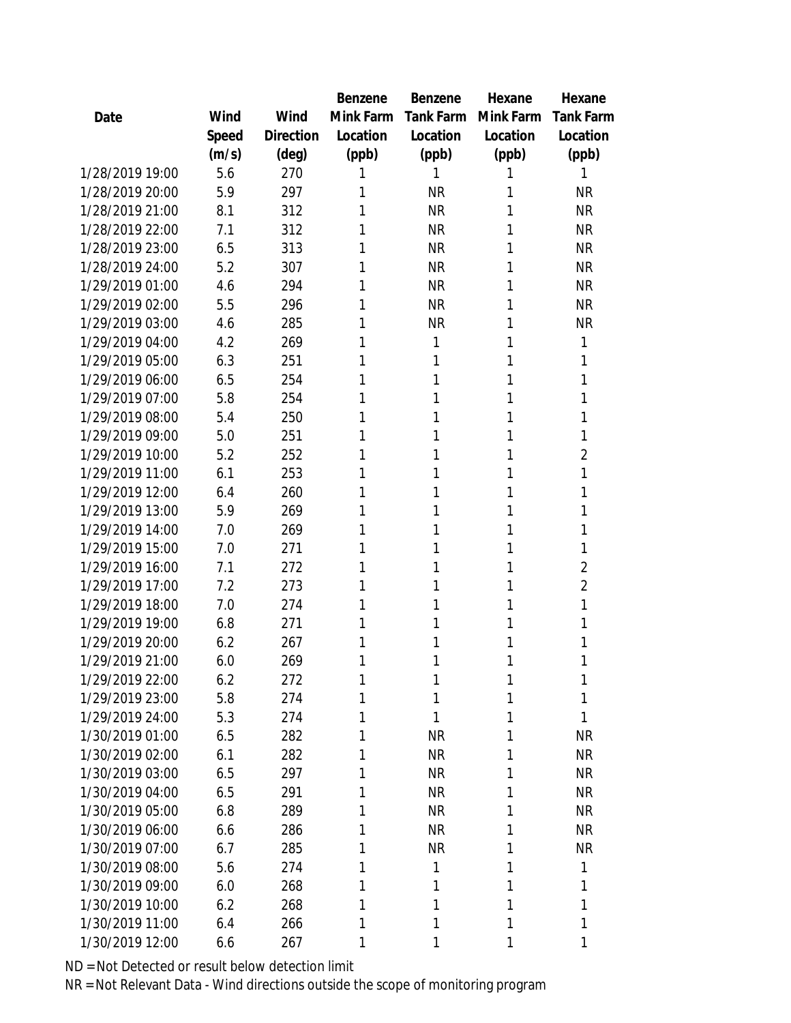|                 |       |           | Benzene   | Benzene   | Hexane    | Hexane         |
|-----------------|-------|-----------|-----------|-----------|-----------|----------------|
| Date            | Wind  | Wind      | Mink Farm | Tank Farm | Mink Farm | Tank Farm      |
|                 | Speed | Direction | Location  | Location  | Location  | Location       |
|                 | (m/s) | (deg)     | (ppb)     | (ppb)     | (ppb)     | (ppb)          |
| 1/28/2019 19:00 | 5.6   | 270       | 1         | 1         | 1         | 1              |
| 1/28/2019 20:00 | 5.9   | 297       | 1         | <b>NR</b> | 1         | <b>NR</b>      |
| 1/28/2019 21:00 | 8.1   | 312       | 1         | <b>NR</b> | 1         | <b>NR</b>      |
| 1/28/2019 22:00 | 7.1   | 312       | 1         | <b>NR</b> | 1         | <b>NR</b>      |
| 1/28/2019 23:00 | 6.5   | 313       | 1         | <b>NR</b> | 1         | <b>NR</b>      |
| 1/28/2019 24:00 | 5.2   | 307       | 1         | <b>NR</b> | 1         | <b>NR</b>      |
| 1/29/2019 01:00 | 4.6   | 294       | 1         | <b>NR</b> | 1         | <b>NR</b>      |
| 1/29/2019 02:00 | 5.5   | 296       | 1         | <b>NR</b> | 1         | <b>NR</b>      |
| 1/29/2019 03:00 | 4.6   | 285       | 1         | <b>NR</b> | 1         | <b>NR</b>      |
| 1/29/2019 04:00 | 4.2   | 269       | 1         | 1         | 1         | 1              |
| 1/29/2019 05:00 | 6.3   | 251       | 1         | 1         | 1         | 1              |
| 1/29/2019 06:00 | 6.5   | 254       | 1         | 1         | 1         | 1              |
| 1/29/2019 07:00 | 5.8   | 254       | 1         | 1         | 1         | 1              |
| 1/29/2019 08:00 | 5.4   | 250       | 1         | 1         | 1         | 1              |
| 1/29/2019 09:00 | 5.0   | 251       | 1         | 1         | 1         | 1              |
| 1/29/2019 10:00 | 5.2   | 252       | 1         | 1         | 1         | $\overline{2}$ |
| 1/29/2019 11:00 | 6.1   | 253       | 1         | 1         | 1         | 1              |
| 1/29/2019 12:00 | 6.4   | 260       | 1         | 1         | 1         | 1              |
| 1/29/2019 13:00 | 5.9   | 269       | 1         | 1         | 1         | 1              |
| 1/29/2019 14:00 | 7.0   | 269       | 1         | 1         | 1         | 1              |
| 1/29/2019 15:00 | 7.0   | 271       | 1         | 1         | 1         | 1              |
| 1/29/2019 16:00 | 7.1   | 272       | 1         | 1         | 1         | $\overline{2}$ |
| 1/29/2019 17:00 | 7.2   | 273       | 1         | 1         | 1         | $\overline{2}$ |
| 1/29/2019 18:00 | 7.0   | 274       | 1         | 1         | 1         | 1              |
| 1/29/2019 19:00 | 6.8   | 271       | 1         | 1         | 1         | 1              |
| 1/29/2019 20:00 | 6.2   | 267       | 1         | 1         | 1         | 1              |
| 1/29/2019 21:00 | 6.0   | 269       | 1         | 1         | 1         | 1              |
| 1/29/2019 22:00 | 6.2   | 272       | 1         | 1         | 1         | 1              |
| 1/29/2019 23:00 | 5.8   | 274       | 1         | 1         | 1         | 1              |
| 1/29/2019 24:00 | 5.3   | 274       | 1         | 1         | 1         | 1              |
| 1/30/2019 01:00 | 6.5   | 282       | 1         | <b>NR</b> | 1         | <b>NR</b>      |
| 1/30/2019 02:00 | 6.1   | 282       | 1         | <b>NR</b> | 1         | <b>NR</b>      |
| 1/30/2019 03:00 | 6.5   | 297       | 1         | <b>NR</b> | 1         | <b>NR</b>      |
| 1/30/2019 04:00 | 6.5   | 291       | 1         | <b>NR</b> | 1         | <b>NR</b>      |
| 1/30/2019 05:00 | 6.8   | 289       | 1         | <b>NR</b> | 1         | <b>NR</b>      |
| 1/30/2019 06:00 | 6.6   | 286       | 1         | <b>NR</b> | 1         | <b>NR</b>      |
| 1/30/2019 07:00 | 6.7   | 285       | 1         | <b>NR</b> | 1         | <b>NR</b>      |
| 1/30/2019 08:00 | 5.6   | 274       | 1         | 1         | 1         | 1              |
| 1/30/2019 09:00 | 6.0   | 268       | 1         | 1         | 1         | 1              |
| 1/30/2019 10:00 | 6.2   | 268       | 1         | 1         | 1         | 1              |
| 1/30/2019 11:00 | 6.4   | 266       | 1         | 1         | 1         | 1              |
| 1/30/2019 12:00 | 6.6   | 267       | 1         | 1         | 1         | 1              |
|                 |       |           |           |           |           |                |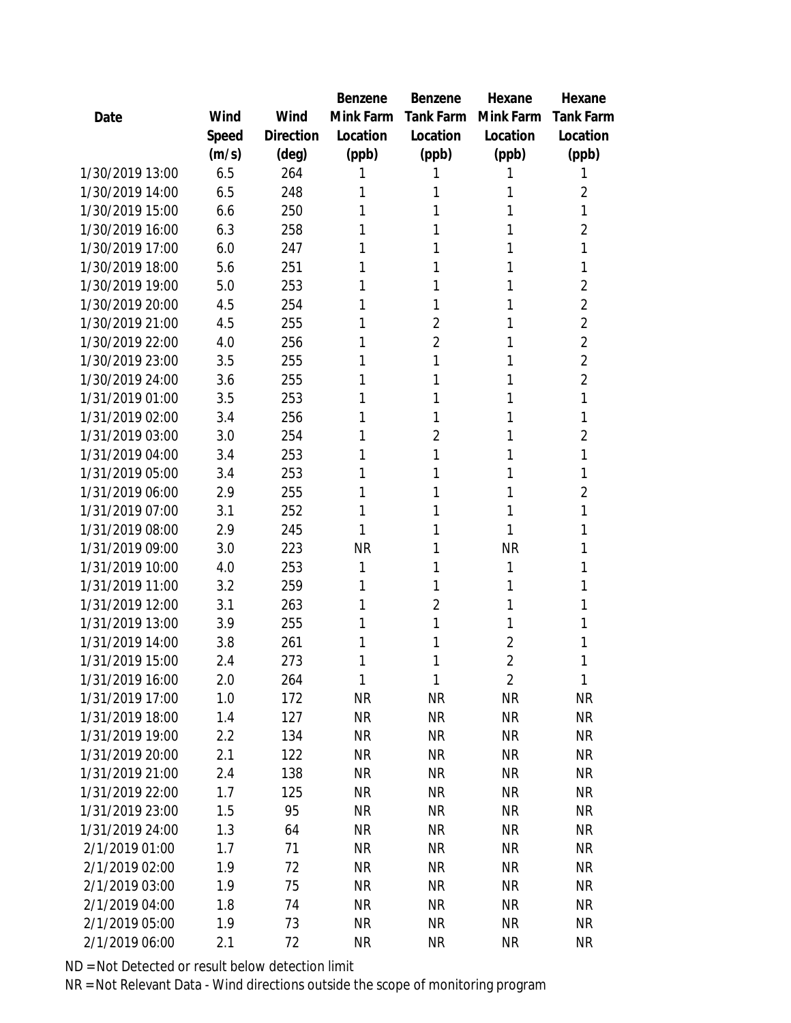|                 |       |                | Benzene   | Benzene        | Hexane         | Hexane         |
|-----------------|-------|----------------|-----------|----------------|----------------|----------------|
| Date            | Wind  | Wind           | Mink Farm | Tank Farm      | Mink Farm      | Tank Farm      |
|                 | Speed | Direction      | Location  | Location       | Location       | Location       |
|                 | (m/s) | $(\text{deg})$ | (ppb)     | (ppb)          | (ppb)          | (ppb)          |
| 1/30/2019 13:00 | 6.5   | 264            | 1         |                | 1              | 1              |
| 1/30/2019 14:00 | 6.5   | 248            | 1         | 1              | 1              | 2              |
| 1/30/2019 15:00 | 6.6   | 250            | 1         | 1              | 1              | 1              |
| 1/30/2019 16:00 | 6.3   | 258            | 1         | 1              | 1              | $\overline{2}$ |
| 1/30/2019 17:00 | 6.0   | 247            | 1         | 1              | 1              | 1              |
| 1/30/2019 18:00 | 5.6   | 251            | 1         | 1              | 1              | 1              |
| 1/30/2019 19:00 | 5.0   | 253            | 1         | 1              | 1              | $\overline{2}$ |
| 1/30/2019 20:00 | 4.5   | 254            | 1         | 1              | 1              | $\overline{2}$ |
| 1/30/2019 21:00 | 4.5   | 255            | 1         | $\overline{2}$ | 1              | $\overline{2}$ |
| 1/30/2019 22:00 | 4.0   | 256            | 1         | $\overline{2}$ | 1              | $\overline{2}$ |
| 1/30/2019 23:00 | 3.5   | 255            | 1         | 1              | 1              | $\overline{2}$ |
| 1/30/2019 24:00 | 3.6   | 255            | 1         | 1              | 1              | $\overline{2}$ |
| 1/31/2019 01:00 | 3.5   | 253            | 1         | 1              | 1              | 1              |
| 1/31/2019 02:00 | 3.4   | 256            | 1         | 1              | 1              | 1              |
| 1/31/2019 03:00 | 3.0   | 254            | 1         | $\overline{2}$ | 1              | $\overline{2}$ |
| 1/31/2019 04:00 | 3.4   | 253            | 1         | 1              | 1              | 1              |
| 1/31/2019 05:00 | 3.4   | 253            | 1         | 1              | 1              | 1              |
| 1/31/2019 06:00 | 2.9   | 255            | 1         | 1              | 1              | 2              |
| 1/31/2019 07:00 | 3.1   | 252            | 1         | 1              | 1              | 1              |
| 1/31/2019 08:00 | 2.9   | 245            | 1         | 1              | 1              | 1              |
| 1/31/2019 09:00 | 3.0   | 223            | <b>NR</b> | 1              | <b>NR</b>      | 1              |
| 1/31/2019 10:00 | 4.0   | 253            | 1         | 1              | 1              | 1              |
| 1/31/2019 11:00 | 3.2   | 259            | 1         | 1              | 1              | 1              |
| 1/31/2019 12:00 | 3.1   | 263            | 1         | $\overline{2}$ | 1              | 1              |
| 1/31/2019 13:00 | 3.9   | 255            | 1         | 1              | 1              | 1              |
| 1/31/2019 14:00 | 3.8   | 261            | 1         | 1              | $\overline{2}$ | 1              |
| 1/31/2019 15:00 | 2.4   | 273            | 1         | 1              | $\overline{2}$ | 1              |
| 1/31/2019 16:00 | 2.0   | 264            | 1         | $\mathbf{1}$   | $\overline{2}$ | $\mathbf{1}$   |
| 1/31/2019 17:00 | 1.0   | 172            | <b>NR</b> | <b>NR</b>      | <b>NR</b>      | <b>NR</b>      |
| 1/31/2019 18:00 | 1.4   | 127            | <b>NR</b> | <b>NR</b>      | <b>NR</b>      | <b>NR</b>      |
| 1/31/2019 19:00 | 2.2   | 134            | <b>NR</b> | <b>NR</b>      | <b>NR</b>      | <b>NR</b>      |
| 1/31/2019 20:00 | 2.1   | 122            | <b>NR</b> | <b>NR</b>      | <b>NR</b>      | <b>NR</b>      |
| 1/31/2019 21:00 | 2.4   | 138            | <b>NR</b> | <b>NR</b>      | <b>NR</b>      | <b>NR</b>      |
| 1/31/2019 22:00 | 1.7   | 125            | <b>NR</b> | <b>NR</b>      | <b>NR</b>      | <b>NR</b>      |
| 1/31/2019 23:00 | 1.5   | 95             | <b>NR</b> | <b>NR</b>      | <b>NR</b>      | <b>NR</b>      |
| 1/31/2019 24:00 | 1.3   | 64             | <b>NR</b> | <b>NR</b>      | <b>NR</b>      | <b>NR</b>      |
| 2/1/2019 01:00  | 1.7   | 71             | <b>NR</b> | <b>NR</b>      | <b>NR</b>      | <b>NR</b>      |
| 2/1/2019 02:00  | 1.9   | 72             | <b>NR</b> | <b>NR</b>      | <b>NR</b>      | <b>NR</b>      |
| 2/1/2019 03:00  | 1.9   | 75             | <b>NR</b> | <b>NR</b>      | <b>NR</b>      | <b>NR</b>      |
| 2/1/2019 04:00  | 1.8   | 74             | <b>NR</b> | <b>NR</b>      | <b>NR</b>      | <b>NR</b>      |
| 2/1/2019 05:00  | 1.9   | 73             | <b>NR</b> | <b>NR</b>      | <b>NR</b>      | <b>NR</b>      |
| 2/1/2019 06:00  | 2.1   | 72             | <b>NR</b> | <b>NR</b>      | <b>NR</b>      | <b>NR</b>      |
|                 |       |                |           |                |                |                |